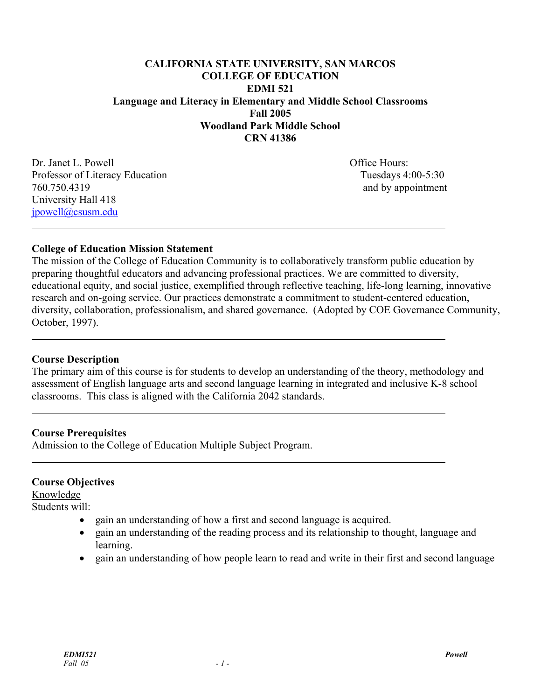# **CALIFORNIA STATE UNIVERSITY, SAN MARCOS COLLEGE OF EDUCATION EDMI 521 Language and Literacy in Elementary and Middle School Classrooms Fall 2005 Woodland Park Middle School CRN 41386**

Dr. Janet L. Powell **Office Hours:** Office Hours: Professor of Literacy Education Tuesdays 4:00-5:30 760.750.4319 and by appointment University Hall 418 jpowell@csusm.edu  $\overline{a}$ 

#### **College of Education Mission Statement**

The mission of the College of Education Community is to collaboratively transform public education by preparing thoughtful educators and advancing professional practices. We are committed to diversity, educational equity, and social justice, exemplified through reflective teaching, life-long learning, innovative research and on-going service. Our practices demonstrate a commitment to student-centered education, diversity, collaboration, professionalism, and shared governance. (Adopted by COE Governance Community, October, 1997).

#### **Course Description**

 $\overline{a}$ 

 $\overline{a}$ 

 $\overline{a}$ 

The primary aim of this course is for students to develop an understanding of the theory, methodology and assessment of English language arts and second language learning in integrated and inclusive K-8 school classrooms. This class is aligned with the California 2042 standards.

#### **Course Prerequisites**

Admission to the College of Education Multiple Subject Program.

#### **Course Objectives**

Knowledge

Students will:

- gain an understanding of how a first and second language is acquired.
- gain an understanding of the reading process and its relationship to thought, language and learning.
- gain an understanding of how people learn to read and write in their first and second language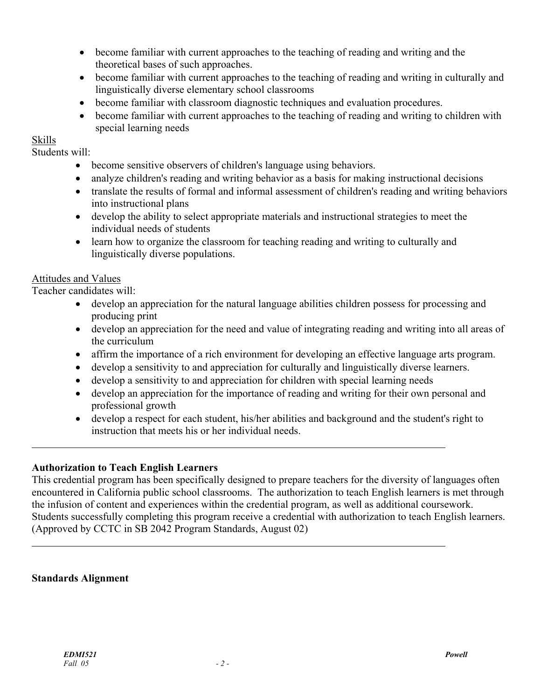- become familiar with current approaches to the teaching of reading and writing and the theoretical bases of such approaches.
- become familiar with current approaches to the teaching of reading and writing in culturally and linguistically diverse elementary school classrooms
- become familiar with classroom diagnostic techniques and evaluation procedures.
- become familiar with current approaches to the teaching of reading and writing to children with special learning needs

# Skills

 $\overline{a}$ 

 $\overline{a}$ 

Students will:

- become sensitive observers of children's language using behaviors.
- analyze children's reading and writing behavior as a basis for making instructional decisions
- translate the results of formal and informal assessment of children's reading and writing behaviors into instructional plans
- develop the ability to select appropriate materials and instructional strategies to meet the individual needs of students
- learn how to organize the classroom for teaching reading and writing to culturally and linguistically diverse populations.

# Attitudes and Values

Teacher candidates will:

- develop an appreciation for the natural language abilities children possess for processing and producing print
- develop an appreciation for the need and value of integrating reading and writing into all areas of the curriculum
- affirm the importance of a rich environment for developing an effective language arts program.
- develop a sensitivity to and appreciation for culturally and linguistically diverse learners.
- develop a sensitivity to and appreciation for children with special learning needs
- develop an appreciation for the importance of reading and writing for their own personal and professional growth
- develop a respect for each student, his/her abilities and background and the student's right to instruction that meets his or her individual needs.

# **Authorization to Teach English Learners**

This credential program has been specifically designed to prepare teachers for the diversity of languages often encountered in California public school classrooms. The authorization to teach English learners is met through the infusion of content and experiences within the credential program, as well as additional coursework. Students successfully completing this program receive a credential with authorization to teach English learners. (Approved by CCTC in SB 2042 Program Standards, August 02)

# **Standards Alignment**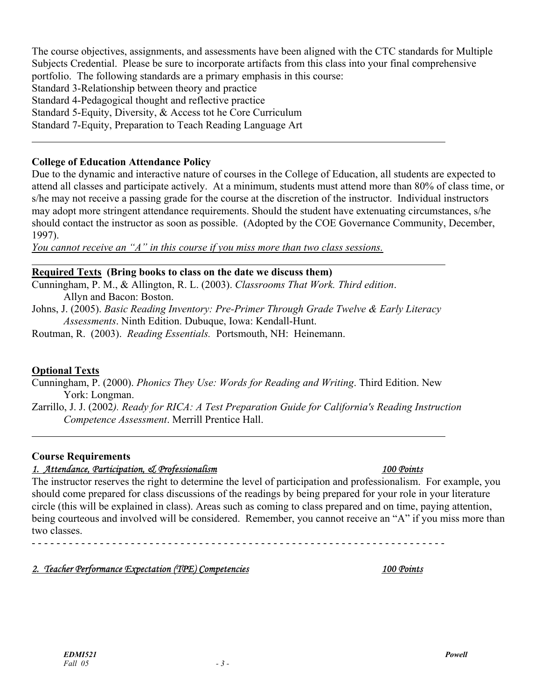The course objectives, assignments, and assessments have been aligned with the CTC standards for Multiple Subjects Credential. Please be sure to incorporate artifacts from this class into your final comprehensive portfolio. The following standards are a primary emphasis in this course: Standard 3-Relationship between theory and practice

Standard 4-Pedagogical thought and reflective practice

Standard 5-Equity, Diversity, & Access tot he Core Curriculum

Standard 7-Equity, Preparation to Teach Reading Language Art  $\overline{a}$ 

#### **College of Education Attendance Policy**

Due to the dynamic and interactive nature of courses in the College of Education, all students are expected to attend all classes and participate actively. At a minimum, students must attend more than 80% of class time, or s/he may not receive a passing grade for the course at the discretion of the instructor. Individual instructors may adopt more stringent attendance requirements. Should the student have extenuating circumstances, s/he should contact the instructor as soon as possible. (Adopted by the COE Governance Community, December, 1997).

*You cannot receive an "A" in this course if you miss more than two class sessions.*

#### **Required Texts (Bring books to class on the date we discuss them)**

Cunningham, P. M., & Allington, R. L. (2003). *Classrooms That Work. Third edition*.

Allyn and Bacon: Boston.

Johns, J. (2005). *Basic Reading Inventory: Pre-Primer Through Grade Twelve & Early Literacy Assessments*. Ninth Edition. Dubuque, Iowa: Kendall-Hunt.

Routman, R. (2003). *Reading Essentials.* Portsmouth, NH: Heinemann.

# **Optional Texts**

 $\overline{a}$ 

 $\overline{a}$ 

Cunningham, P. (2000). *Phonics They Use: Words for Reading and Writing*. Third Edition. New York: Longman.

Zarrillo, J. J. (2002*). Ready for RICA: A Test Preparation Guide for California's Reading Instruction Competence Assessment*. Merrill Prentice Hall.

#### **Course Requirements**

# *1. Attendance, Participation, & Professionalism 100 Points*

The instructor reserves the right to determine the level of participation and professionalism. For example, you should come prepared for class discussions of the readings by being prepared for your role in your literature circle (this will be explained in class). Areas such as coming to class prepared and on time, paying attention, being courteous and involved will be considered. Remember, you cannot receive an "A" if you miss more than two classes.

- - - - - - - - - - - - - - - - - - - - - - - - - - - - - - - - - - - - - - - - - - - - - - - - - - - - - - - - - - - - - - - - - - -

# *2. Teacher Performance Expectation (TPE) Competencies 100 Points*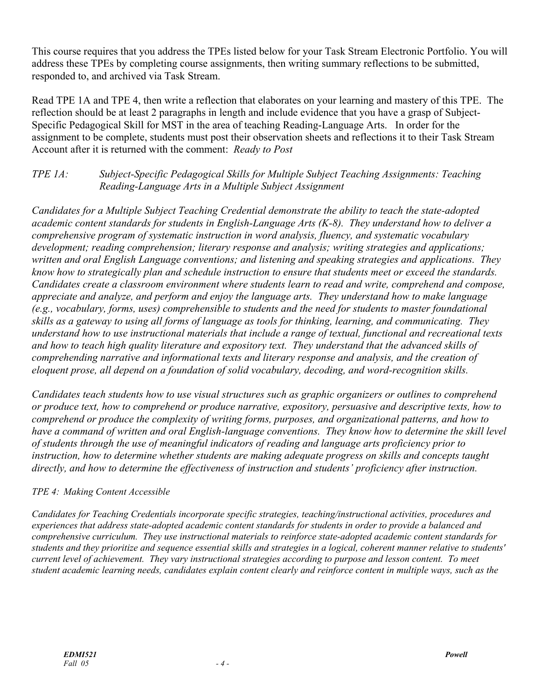This course requires that you address the TPEs listed below for your Task Stream Electronic Portfolio. You will address these TPEs by completing course assignments, then writing summary reflections to be submitted, responded to, and archived via Task Stream.

Read TPE 1A and TPE 4, then write a reflection that elaborates on your learning and mastery of this TPE. The reflection should be at least 2 paragraphs in length and include evidence that you have a grasp of Subject-Specific Pedagogical Skill for MST in the area of teaching Reading-Language Arts. In order for the assignment to be complete, students must post their observation sheets and reflections it to their Task Stream Account after it is returned with the comment: *Ready to Post* 

# *TPE 1A: Subject-Specific Pedagogical Skills for Multiple Subject Teaching Assignments: Teaching Reading-Language Arts in a Multiple Subject Assignment*

*Candidates for a Multiple Subject Teaching Credential demonstrate the ability to teach the state-adopted academic content standards for students in English-Language Arts (K-8). They understand how to deliver a comprehensive program of systematic instruction in word analysis, fluency, and systematic vocabulary development; reading comprehension; literary response and analysis; writing strategies and applications; written and oral English Language conventions; and listening and speaking strategies and applications. They know how to strategically plan and schedule instruction to ensure that students meet or exceed the standards. Candidates create a classroom environment where students learn to read and write, comprehend and compose, appreciate and analyze, and perform and enjoy the language arts. They understand how to make language (e.g., vocabulary, forms, uses) comprehensible to students and the need for students to master foundational skills as a gateway to using all forms of language as tools for thinking, learning, and communicating. They understand how to use instructional materials that include a range of textual, functional and recreational texts and how to teach high quality literature and expository text. They understand that the advanced skills of comprehending narrative and informational texts and literary response and analysis, and the creation of eloquent prose, all depend on a foundation of solid vocabulary, decoding, and word-recognition skills.* 

*Candidates teach students how to use visual structures such as graphic organizers or outlines to comprehend or produce text, how to comprehend or produce narrative, expository, persuasive and descriptive texts, how to comprehend or produce the complexity of writing forms, purposes, and organizational patterns, and how to have a command of written and oral English-language conventions. They know how to determine the skill level of students through the use of meaningful indicators of reading and language arts proficiency prior to instruction, how to determine whether students are making adequate progress on skills and concepts taught directly, and how to determine the effectiveness of instruction and students' proficiency after instruction.* 

# *TPE 4: Making Content Accessible*

*Candidates for Teaching Credentials incorporate specific strategies, teaching/instructional activities, procedures and experiences that address state-adopted academic content standards for students in order to provide a balanced and comprehensive curriculum. They use instructional materials to reinforce state-adopted academic content standards for students and they prioritize and sequence essential skills and strategies in a logical, coherent manner relative to students' current level of achievement. They vary instructional strategies according to purpose and lesson content. To meet student academic learning needs, candidates explain content clearly and reinforce content in multiple ways, such as the*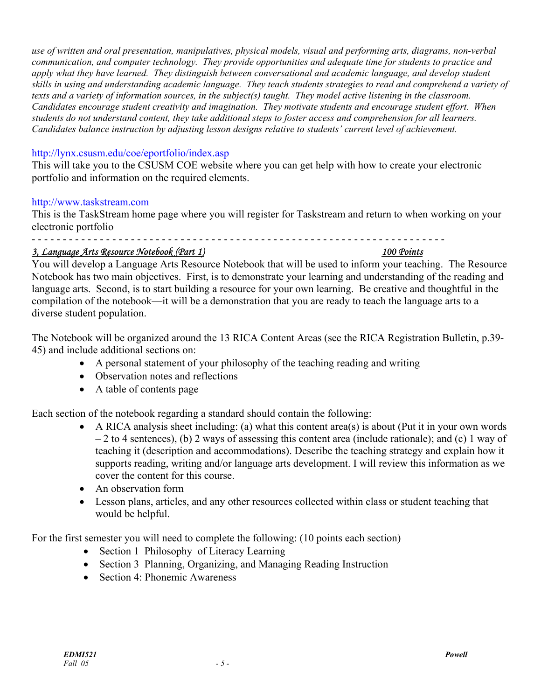*use of written and oral presentation, manipulatives, physical models, visual and performing arts, diagrams, non-verbal communication, and computer technology. They provide opportunities and adequate time for students to practice and apply what they have learned. They distinguish between conversational and academic language, and develop student skills in using and understanding academic language. They teach students strategies to read and comprehend a variety of texts and a variety of information sources, in the subject(s) taught. They model active listening in the classroom. Candidates encourage student creativity and imagination. They motivate students and encourage student effort. When students do not understand content, they take additional steps to foster access and comprehension for all learners. Candidates balance instruction by adjusting lesson designs relative to students' current level of achievement.* 

### http://lynx.csusm.edu/coe/eportfolio/index.asp

This will take you to the CSUSM COE website where you can get help with how to create your electronic portfolio and information on the required elements.

#### http://www.taskstream.com

This is the TaskStream home page where you will register for Taskstream and return to when working on your electronic portfolio

- - - - - - - - - - - - - - - - - - - - - - - - - - - - - - - - - - - - - - - - - - - - - - - - - - - - - - - - - - - - - - - - - - -

#### *3, Language Arts Resource Notebook (Part 1) 100 Points*

You will develop a Language Arts Resource Notebook that will be used to inform your teaching. The Resource Notebook has two main objectives. First, is to demonstrate your learning and understanding of the reading and language arts. Second, is to start building a resource for your own learning. Be creative and thoughtful in the compilation of the notebook—it will be a demonstration that you are ready to teach the language arts to a diverse student population.

The Notebook will be organized around the 13 RICA Content Areas (see the RICA Registration Bulletin, p.39- 45) and include additional sections on:

- A personal statement of your philosophy of the teaching reading and writing
- Observation notes and reflections
- A table of contents page

Each section of the notebook regarding a standard should contain the following:

- A RICA analysis sheet including: (a) what this content area(s) is about (Put it in your own words – 2 to 4 sentences), (b) 2 ways of assessing this content area (include rationale); and (c) 1 way of teaching it (description and accommodations). Describe the teaching strategy and explain how it supports reading, writing and/or language arts development. I will review this information as we cover the content for this course.
- An observation form
- Lesson plans, articles, and any other resources collected within class or student teaching that would be helpful.

For the first semester you will need to complete the following: (10 points each section)

- Section 1 Philosophy of Literacy Learning
- Section 3 Planning, Organizing, and Managing Reading Instruction
- Section 4: Phonemic Awareness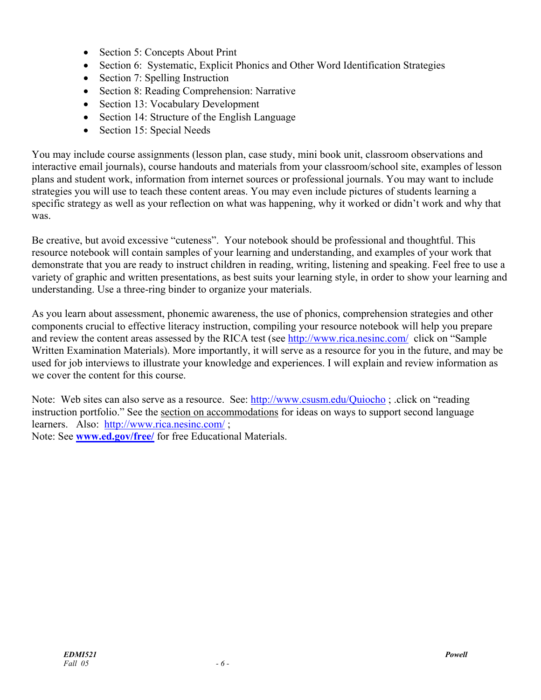- Section 5: Concepts About Print
- Section 6: Systematic, Explicit Phonics and Other Word Identification Strategies
- Section 7: Spelling Instruction
- Section 8: Reading Comprehension: Narrative
- Section 13: Vocabulary Development
- Section 14: Structure of the English Language
- Section 15: Special Needs

You may include course assignments (lesson plan, case study, mini book unit, classroom observations and interactive email journals), course handouts and materials from your classroom/school site, examples of lesson plans and student work, information from internet sources or professional journals. You may want to include strategies you will use to teach these content areas. You may even include pictures of students learning a specific strategy as well as your reflection on what was happening, why it worked or didn't work and why that was.

Be creative, but avoid excessive "cuteness". Your notebook should be professional and thoughtful. This resource notebook will contain samples of your learning and understanding, and examples of your work that demonstrate that you are ready to instruct children in reading, writing, listening and speaking. Feel free to use a variety of graphic and written presentations, as best suits your learning style, in order to show your learning and understanding. Use a three-ring binder to organize your materials.

As you learn about assessment, phonemic awareness, the use of phonics, comprehension strategies and other components crucial to effective literacy instruction, compiling your resource notebook will help you prepare and review the content areas assessed by the RICA test (see http://www.rica.nesinc.com/ click on "Sample Written Examination Materials). More importantly, it will serve as a resource for you in the future, and may be used for job interviews to illustrate your knowledge and experiences. I will explain and review information as we cover the content for this course.

Note: Web sites can also serve as a resource. See: http://www.csusm.edu/Quiocho ; .click on "reading instruction portfolio." See the section on accommodations for ideas on ways to support second language learners. Also: http://www.rica.nesinc.com/ ; Note: See **www.ed.gov/free/** for free Educational Materials.

*EDMI521 Powell Fall* 05 - 6 -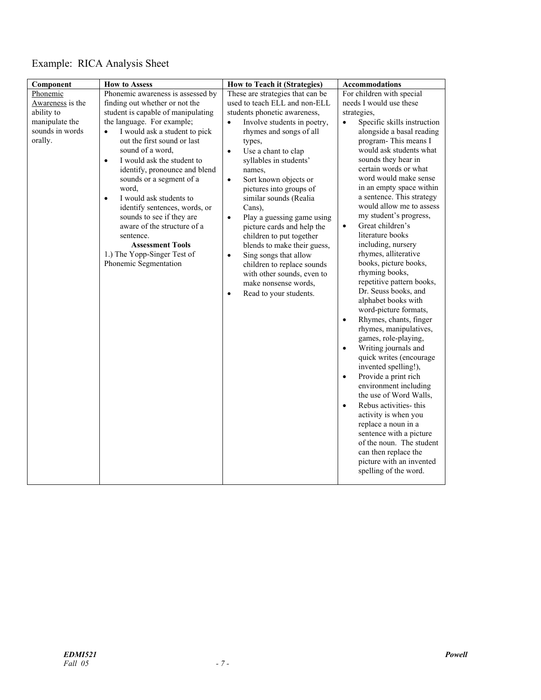# Example: RICA Analysis Sheet

| Component                                                                                  | <b>How to Assess</b>                                                                                                                                                                                                                                                                                                                                                                                                                                                                                                                                                                           | How to Teach it (Strategies)                                                                                                                                                                                                                                                                                                                                                                                                                                                                                                                                                                                                                                         | Accommodations                                                                                                                                                                                                                                                                                                                                                                                                                                                                                                                                                                                                                                                                                                                                                                                                                                                                                                                                                                                                                                                                                                                                |
|--------------------------------------------------------------------------------------------|------------------------------------------------------------------------------------------------------------------------------------------------------------------------------------------------------------------------------------------------------------------------------------------------------------------------------------------------------------------------------------------------------------------------------------------------------------------------------------------------------------------------------------------------------------------------------------------------|----------------------------------------------------------------------------------------------------------------------------------------------------------------------------------------------------------------------------------------------------------------------------------------------------------------------------------------------------------------------------------------------------------------------------------------------------------------------------------------------------------------------------------------------------------------------------------------------------------------------------------------------------------------------|-----------------------------------------------------------------------------------------------------------------------------------------------------------------------------------------------------------------------------------------------------------------------------------------------------------------------------------------------------------------------------------------------------------------------------------------------------------------------------------------------------------------------------------------------------------------------------------------------------------------------------------------------------------------------------------------------------------------------------------------------------------------------------------------------------------------------------------------------------------------------------------------------------------------------------------------------------------------------------------------------------------------------------------------------------------------------------------------------------------------------------------------------|
| Phonemic<br>Awareness is the<br>ability to<br>manipulate the<br>sounds in words<br>orally. | Phonemic awareness is assessed by<br>finding out whether or not the<br>student is capable of manipulating<br>the language. For example;<br>I would ask a student to pick<br>$\bullet$<br>out the first sound or last<br>sound of a word,<br>I would ask the student to<br>$\bullet$<br>identify, pronounce and blend<br>sounds or a segment of a<br>word,<br>I would ask students to<br>$\bullet$<br>identify sentences, words, or<br>sounds to see if they are<br>aware of the structure of a<br>sentence.<br><b>Assessment Tools</b><br>1.) The Yopp-Singer Test of<br>Phonemic Segmentation | These are strategies that can be<br>used to teach ELL and non-ELL<br>students phonetic awareness,<br>Involve students in poetry,<br>$\bullet$<br>rhymes and songs of all<br>types,<br>Use a chant to clap<br>$\bullet$<br>syllables in students'<br>names,<br>Sort known objects or<br>$\bullet$<br>pictures into groups of<br>similar sounds (Realia<br>Cans),<br>Play a guessing game using<br>$\bullet$<br>picture cards and help the<br>children to put together<br>blends to make their guess,<br>Sing songs that allow<br>$\bullet$<br>children to replace sounds<br>with other sounds, even to<br>make nonsense words,<br>Read to your students.<br>$\bullet$ | For children with special<br>needs I would use these<br>strategies,<br>Specific skills instruction<br>$\bullet$<br>alongside a basal reading<br>program-This means I<br>would ask students what<br>sounds they hear in<br>certain words or what<br>word would make sense<br>in an empty space within<br>a sentence. This strategy<br>would allow me to assess<br>my student's progress,<br>Great children's<br>$\bullet$<br>literature books<br>including, nursery<br>rhymes, alliterative<br>books, picture books,<br>rhyming books,<br>repetitive pattern books,<br>Dr. Seuss books, and<br>alphabet books with<br>word-picture formats,<br>Rhymes, chants, finger<br>$\bullet$<br>rhymes, manipulatives,<br>games, role-playing,<br>Writing journals and<br>$\bullet$<br>quick writes (encourage<br>invented spelling!),<br>Provide a print rich<br>$\bullet$<br>environment including<br>the use of Word Walls,<br>Rebus activities- this<br>$\bullet$<br>activity is when you<br>replace a noun in a<br>sentence with a picture<br>of the noun. The student<br>can then replace the<br>picture with an invented<br>spelling of the word. |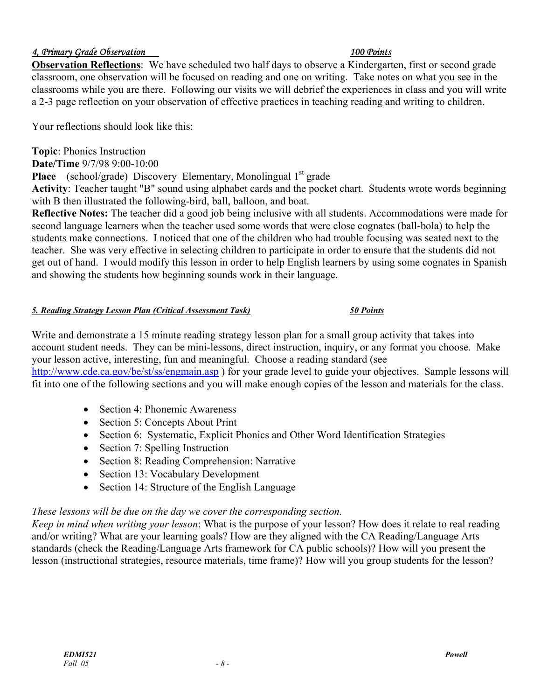# *4, Primary Grade Observation 100 Points*

**Observation Reflections**: We have scheduled two half days to observe a Kindergarten, first or second grade classroom, one observation will be focused on reading and one on writing. Take notes on what you see in the classrooms while you are there. Following our visits we will debrief the experiences in class and you will write a 2-3 page reflection on your observation of effective practices in teaching reading and writing to children.

Your reflections should look like this:

#### **Topic**: Phonics Instruction

**Date/Time** 9/7/98 9:00-10:00

**Place** (school/grade) Discovery Elementary, Monolingual 1<sup>st</sup> grade

**Activity**: Teacher taught "B" sound using alphabet cards and the pocket chart. Students wrote words beginning with B then illustrated the following-bird, ball, balloon, and boat.

**Reflective Notes:** The teacher did a good job being inclusive with all students. Accommodations were made for second language learners when the teacher used some words that were close cognates (ball-bola) to help the students make connections. I noticed that one of the children who had trouble focusing was seated next to the teacher. She was very effective in selecting children to participate in order to ensure that the students did not get out of hand. I would modify this lesson in order to help English learners by using some cognates in Spanish and showing the students how beginning sounds work in their language.

#### *5. Reading Strategy Lesson Plan (Critical Assessment Task) 50 Points*

# Write and demonstrate a 15 minute reading strategy lesson plan for a small group activity that takes into account student needs. They can be mini-lessons, direct instruction, inquiry, or any format you choose. Make your lesson active, interesting, fun and meaningful. Choose a reading standard (see http://www.cde.ca.gov/be/st/ss/engmain.asp ) for your grade level to guide your objectives. Sample lessons will fit into one of the following sections and you will make enough copies of the lesson and materials for the class.

- Section 4: Phonemic Awareness
- Section 5: Concepts About Print
- Section 6: Systematic, Explicit Phonics and Other Word Identification Strategies
- Section 7: Spelling Instruction
- Section 8: Reading Comprehension: Narrative
- Section 13: Vocabulary Development
- Section 14: Structure of the English Language

# *These lessons will be due on the day we cover the corresponding section.*

*Keep in mind when writing your lesson*: What is the purpose of your lesson? How does it relate to real reading and/or writing? What are your learning goals? How are they aligned with the CA Reading/Language Arts standards (check the Reading/Language Arts framework for CA public schools)? How will you present the lesson (instructional strategies, resource materials, time frame)? How will you group students for the lesson?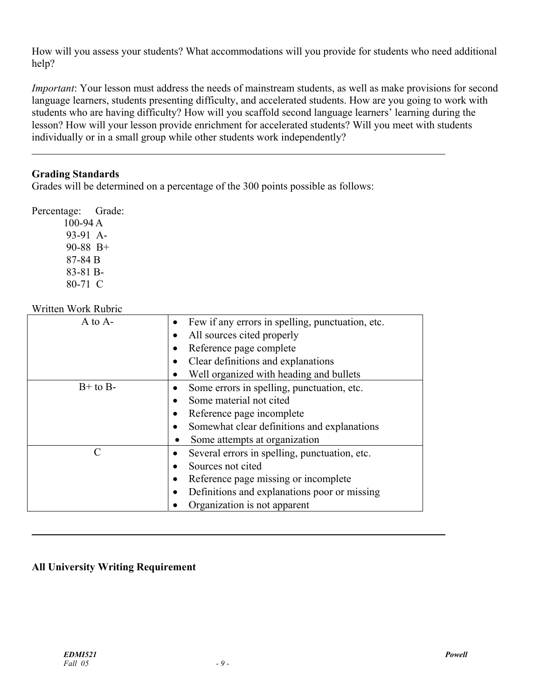How will you assess your students? What accommodations will you provide for students who need additional help?

*Important*: Your lesson must address the needs of mainstream students, as well as make provisions for second language learners, students presenting difficulty, and accelerated students. How are you going to work with students who are having difficulty? How will you scaffold second language learners' learning during the lesson? How will your lesson provide enrichment for accelerated students? Will you meet with students individually or in a small group while other students work independently?

# **Grading Standards**

 $\overline{a}$ 

Grades will be determined on a percentage of the 300 points possible as follows:

Percentage: Grade:

100-94 A 93-91 A-90-88 B+ 87-84 B 83-81 B-80-71 C

# Written Work Rubric

| $A$ to $A$ - | Few if any errors in spelling, punctuation, etc. |  |
|--------------|--------------------------------------------------|--|
|              | All sources cited properly                       |  |
|              | Reference page complete                          |  |
|              | Clear definitions and explanations               |  |
|              | Well organized with heading and bullets          |  |
| $B+$ to $B-$ | Some errors in spelling, punctuation, etc.       |  |
|              | Some material not cited                          |  |
|              | Reference page incomplete<br>$\bullet$           |  |
|              | Somewhat clear definitions and explanations      |  |
|              | Some attempts at organization                    |  |
| C            | Several errors in spelling, punctuation, etc.    |  |
|              | Sources not cited<br>$\bullet$                   |  |
|              | Reference page missing or incomplete             |  |
|              | Definitions and explanations poor or missing     |  |
|              | Organization is not apparent                     |  |

# **All University Writing Requirement**

 $\overline{a}$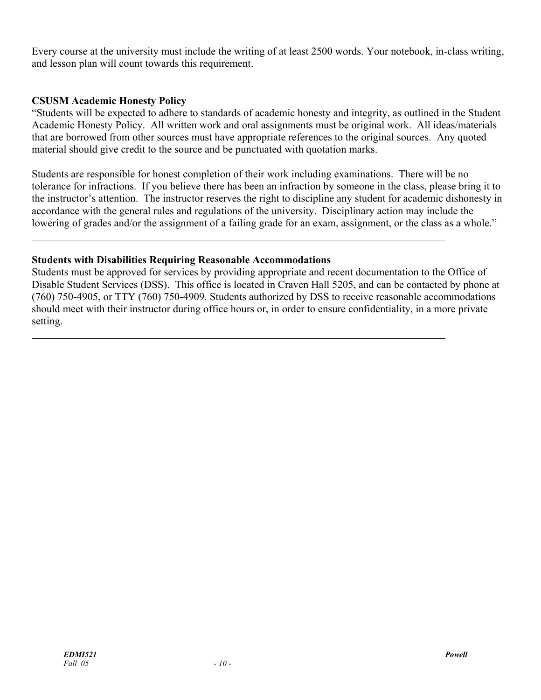Every course at the university must include the writing of at least 2500 words. Your notebook, in-class writing, and lesson plan will count towards this requirement.

### **CSUSM Academic Honesty Policy**

 $\overline{a}$ 

 $\overline{a}$ 

 $\overline{a}$ 

"Students will be expected to adhere to standards of academic honesty and integrity, as outlined in the Student Academic Honesty Policy. All written work and oral assignments must be original work. All ideas/materials that are borrowed from other sources must have appropriate references to the original sources. Any quoted material should give credit to the source and be punctuated with quotation marks.

Students are responsible for honest completion of their work including examinations. There will be no tolerance for infractions. If you believe there has been an infraction by someone in the class, please bring it to the instructor's attention. The instructor reserves the right to discipline any student for academic dishonesty in accordance with the general rules and regulations of the university. Disciplinary action may include the lowering of grades and/or the assignment of a failing grade for an exam, assignment, or the class as a whole."

#### **Students with Disabilities Requiring Reasonable Accommodations**

Students must be approved for services by providing appropriate and recent documentation to the Office of Disable Student Services (DSS). This office is located in Craven Hall 5205, and can be contacted by phone at (760) 750-4905, or TTY (760) 750-4909. Students authorized by DSS to receive reasonable accommodations should meet with their instructor during office hours or, in order to ensure confidentiality, in a more private setting.